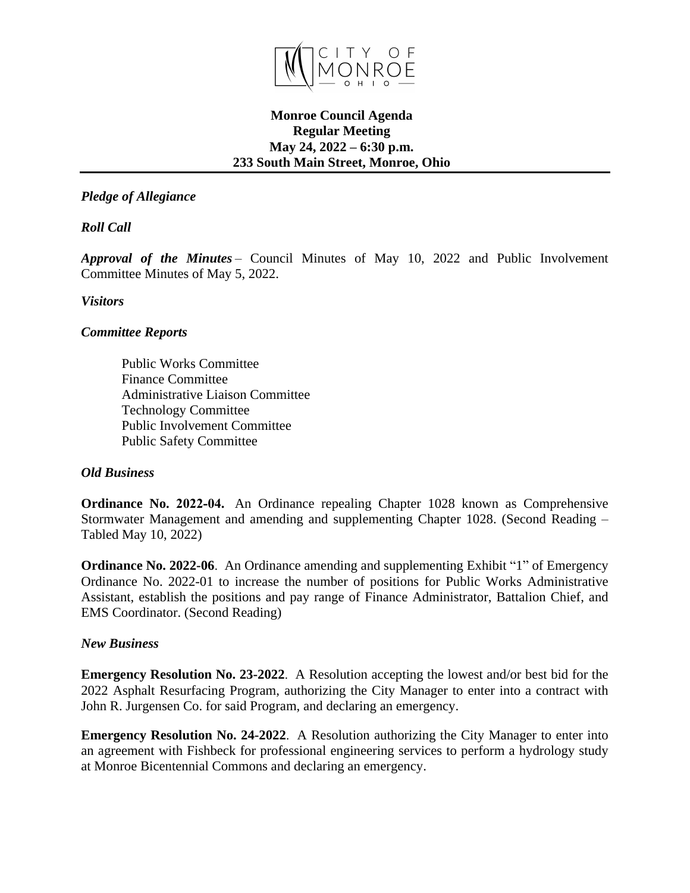

# **Monroe Council Agenda Regular Meeting May 24, 2022 – 6:30 p.m. 233 South Main Street, Monroe, Ohio**

# *Pledge of Allegiance*

*Roll Call*  

*Approval of the Minutes* – Council Minutes of May 10, 2022 and Public Involvement Committee Minutes of May 5, 2022.

### *Visitors*

## *Committee Reports*

Public Works Committee   Finance Committee   Administrative Liaison Committee   Technology Committee   Public Involvement Committee   Public Safety Committee  

### *Old Business*

**Ordinance No. 2022-04.** An Ordinance repealing Chapter 1028 known as Comprehensive Stormwater Management and amending and supplementing Chapter 1028. (Second Reading – Tabled May 10, 2022)

**Ordinance No. 2022-06**. An Ordinance amending and supplementing Exhibit "1" of Emergency Ordinance No. 2022-01 to increase the number of positions for Public Works Administrative Assistant, establish the positions and pay range of Finance Administrator, Battalion Chief, and EMS Coordinator. (Second Reading)

#### *New Business*

**Emergency Resolution No. 23-2022**. A Resolution accepting the lowest and/or best bid for the 2022 Asphalt Resurfacing Program, authorizing the City Manager to enter into a contract with John R. Jurgensen Co. for said Program, and declaring an emergency.

**Emergency Resolution No. 24-2022**. A Resolution authorizing the City Manager to enter into an agreement with Fishbeck for professional engineering services to perform a hydrology study at Monroe Bicentennial Commons and declaring an emergency.